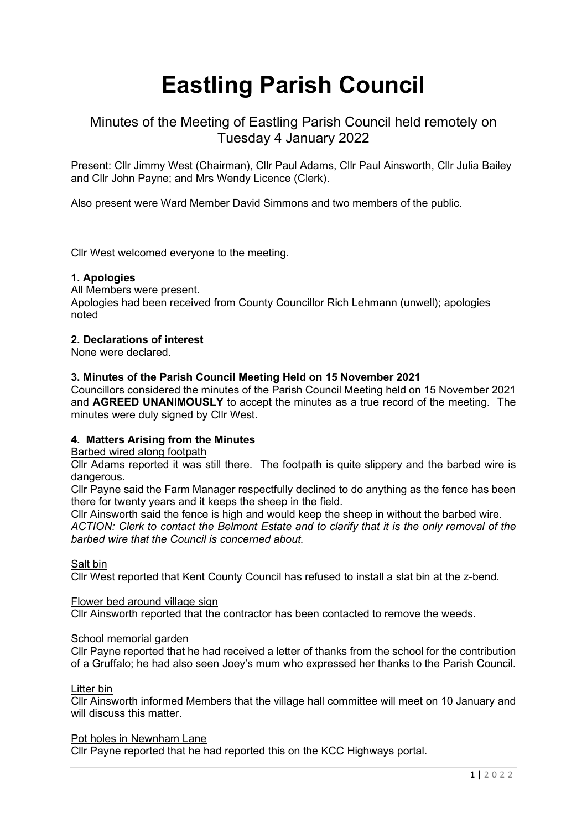# Eastling Parish Council

# Minutes of the Meeting of Eastling Parish Council held remotely on Tuesday 4 January 2022

Present: Cllr Jimmy West (Chairman), Cllr Paul Adams, Cllr Paul Ainsworth, Cllr Julia Bailey and Cllr John Payne; and Mrs Wendy Licence (Clerk).

Also present were Ward Member David Simmons and two members of the public.

Cllr West welcomed everyone to the meeting.

# 1. Apologies

All Members were present. Apologies had been received from County Councillor Rich Lehmann (unwell); apologies noted

#### 2. Declarations of interest

None were declared.

#### 3. Minutes of the Parish Council Meeting Held on 15 November 2021

Councillors considered the minutes of the Parish Council Meeting held on 15 November 2021 and AGREED UNANIMOUSLY to accept the minutes as a true record of the meeting. The minutes were duly signed by Cllr West.

# 4. Matters Arising from the Minutes

#### Barbed wired along footpath

Cllr Adams reported it was still there. The footpath is quite slippery and the barbed wire is dangerous.

Cllr Payne said the Farm Manager respectfully declined to do anything as the fence has been there for twenty years and it keeps the sheep in the field.

Cllr Ainsworth said the fence is high and would keep the sheep in without the barbed wire. ACTION: Clerk to contact the Belmont Estate and to clarify that it is the only removal of the barbed wire that the Council is concerned about.

#### Salt bin

Cllr West reported that Kent County Council has refused to install a slat bin at the z-bend.

#### Flower bed around village sign

Cllr Ainsworth reported that the contractor has been contacted to remove the weeds.

#### School memorial garden

Cllr Payne reported that he had received a letter of thanks from the school for the contribution of a Gruffalo; he had also seen Joey's mum who expressed her thanks to the Parish Council.

#### Litter bin

Cllr Ainsworth informed Members that the village hall committee will meet on 10 January and will discuss this matter.

#### Pot holes in Newnham Lane

Cllr Payne reported that he had reported this on the KCC Highways portal.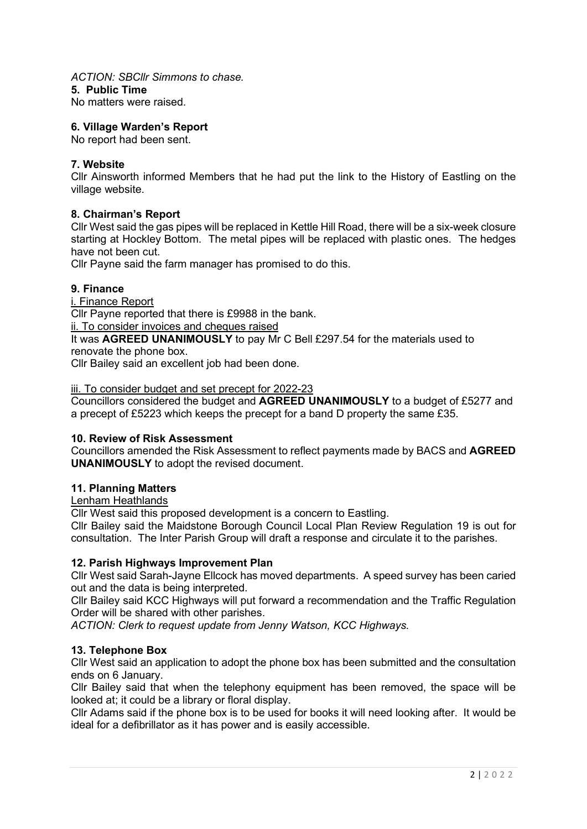# ACTION: SBCllr Simmons to chase.

#### 5. Public Time

No matters were raised.

# 6. Village Warden's Report

No report had been sent.

# 7. Website

Cllr Ainsworth informed Members that he had put the link to the History of Eastling on the village website.

# 8. Chairman's Report

Cllr West said the gas pipes will be replaced in Kettle Hill Road, there will be a six-week closure starting at Hockley Bottom. The metal pipes will be replaced with plastic ones. The hedges have not been cut.

Cllr Payne said the farm manager has promised to do this.

#### 9. Finance

i. Finance Report

Cllr Payne reported that there is £9988 in the bank.

ii. To consider invoices and cheques raised

It was AGREED UNANIMOUSLY to pay Mr C Bell £297.54 for the materials used to renovate the phone box.

Cllr Bailey said an excellent job had been done.

iii. To consider budget and set precept for 2022-23

Councillors considered the budget and AGREED UNANIMOUSLY to a budget of £5277 and a precept of £5223 which keeps the precept for a band D property the same £35.

#### 10. Review of Risk Assessment

Councillors amended the Risk Assessment to reflect payments made by BACS and AGREED UNANIMOUSLY to adopt the revised document.

#### 11. Planning Matters

Lenham Heathlands

Cllr West said this proposed development is a concern to Eastling.

Cllr Bailey said the Maidstone Borough Council Local Plan Review Regulation 19 is out for consultation. The Inter Parish Group will draft a response and circulate it to the parishes.

#### 12. Parish Highways Improvement Plan

Cllr West said Sarah-Jayne Ellcock has moved departments. A speed survey has been caried out and the data is being interpreted.

Cllr Bailey said KCC Highways will put forward a recommendation and the Traffic Regulation Order will be shared with other parishes.

ACTION: Clerk to request update from Jenny Watson, KCC Highways.

# 13. Telephone Box

Cllr West said an application to adopt the phone box has been submitted and the consultation ends on 6 January.

Cllr Bailey said that when the telephony equipment has been removed, the space will be looked at; it could be a library or floral display.

Cllr Adams said if the phone box is to be used for books it will need looking after. It would be ideal for a defibrillator as it has power and is easily accessible.